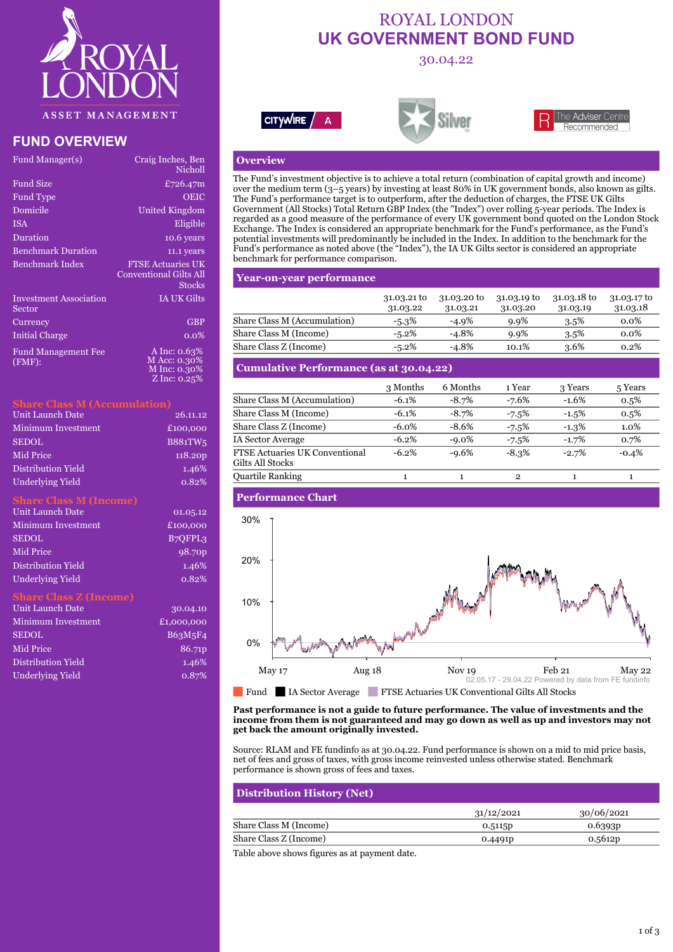

# **FUND OVERVIEW**

| Fund Manager(s)                         | Craig Inches, Ben<br>Nicholl                                        |
|-----------------------------------------|---------------------------------------------------------------------|
| <b>Fund Size</b>                        | £726.47m                                                            |
| <b>Fund Type</b>                        | OEIC                                                                |
| Domicile                                | United Kingdom                                                      |
| <b>ISA</b>                              | Eligible                                                            |
| Duration                                | 10.6 years                                                          |
| <b>Benchmark Duration</b>               | 11.1 years                                                          |
| <b>Benchmark Index</b>                  | <b>FTSE Actuaries UK</b><br><b>Conventional Gilts All</b><br>Stocks |
| <b>Investment</b> Association<br>Sector | IA UK Gilts                                                         |
| Currency                                | <b>GBP</b>                                                          |
| <b>Initial Charge</b>                   | $0.0\%$                                                             |
| <b>Fund Management Fee</b><br>(FMF):    | A Inc: 0.63%<br>M Acc: 0.30%<br>M Inc: 0.30%<br>Z Inc: 0.25%        |

| Unit Launch Date   | 26.11.12       |
|--------------------|----------------|
| Minimum Investment | £100,000       |
| <b>SEDOL</b>       | <b>B881TW5</b> |
| Mid Price          | 118.20p        |
| Distribution Yield | 1.46%          |
| Underlying Yield   | 0.82%          |

#### **Share Class M (Income)**

| Unit Launch Date        | 01.05.12             |
|-------------------------|----------------------|
| Minimum Investment      | £100,000             |
| <b>SEDOL</b>            | B <sub>7</sub> OFPL3 |
| Mid Price               | 98.70 <sub>p</sub>   |
| Distribution Yield      | 1.46%                |
| <b>Underlying Yield</b> | 0.82%                |

### **Share Class Z (Income)**

| <b>Unit Launch Date</b>   | 30.04.10   |
|---------------------------|------------|
| <b>Minimum Investment</b> | £1,000,000 |
| <b>SEDOL</b>              | B63M5F4    |
| Mid Price                 | 86.71p     |
| Distribution Yield        | 1.46%      |
| <b>Underlying Yield</b>   | $0.87\%$   |

# ROYAL LONDON **UK GOVERNMENT BOND FUND**

30.04.22







### **Overview**

The Fund's investment objective is to achieve a total return (combination of capital growth and income) over the medium term (3–5 years) by investing at least 80% in UK government bonds, also known as gilts. The Fund's performance target is to outperform, after the deduction of charges, the FTSE UK Gilts Government (All Stocks) Total Return GBP Index (the "Index") over rolling 5-year periods. The Index is regarded as a good measure of the performance of every UK government bond quoted on the London Stock Exchange. The Index is considered an appropriate benchmark for the Fund's performance, as the Fund's potential investments will predominantly be included in the Index. In addition to the benchmark for the Fund's performance as noted above (the "Index"), the IA UK Gilts sector is considered an appropriate benchmark for performance comparison.

### **Year-on-year performance**

|                              | $31.03.21$ to<br>31.03.22 | 31.03.20 to<br>31.03.21 | 31.03.19 to<br>31.03.20 | 31.03.18 to<br>31.03.19 | 31.03.17 to<br>31.03.18 |
|------------------------------|---------------------------|-------------------------|-------------------------|-------------------------|-------------------------|
| Share Class M (Accumulation) | $-5.3\%$                  | $-4.9\%$                | $9.9\%$                 | $3.5\%$                 | $0.0\%$                 |
| Share Class M (Income)       | $-5.2\%$                  | $-4.8%$                 | $9.9\%$                 | $3.5\%$                 | $0.0\%$                 |
| Share Class Z (Income)       | $-5.2\%$                  | $-4.8%$                 | 10.1%                   | 3.6%                    | 0.2%                    |

# **Cumulative Performance (as at 30.04.22)**

|                                                           | 3 Months | 6 Months | 1 Year   | 3 Years  | 5 Years |
|-----------------------------------------------------------|----------|----------|----------|----------|---------|
| Share Class M (Accumulation)                              | $-6.1%$  | $-8.7\%$ | $-7.6%$  | $-1.6%$  | $0.5\%$ |
| Share Class M (Income)                                    | $-6.1\%$ | $-8.7%$  | $-7.5%$  | $-1.5%$  | $0.5\%$ |
| Share Class Z (Income)                                    | $-6.0\%$ | $-8.6%$  | $-7.5%$  | $-1.3\%$ | $1.0\%$ |
| <b>IA Sector Average</b>                                  | $-6.2\%$ | $-9.0\%$ | $-7.5%$  | $-1.7%$  | 0.7%    |
| <b>FTSE Actuaries UK Conventional</b><br>Gilts All Stocks | $-6.2%$  | $-9.6%$  | $-8.3\%$ | $-2.7%$  | $-0.4%$ |
| <b>Quartile Ranking</b>                                   |          |          | 2        |          |         |

### **Performance Chart**



#### **Past performance is not a guide to future performance. The value of investments and the income from them is not guaranteed and may go down as well as up and investors may not get back the amount originally invested.**

Source: RLAM and FE fundinfo as at 30.04.22. Fund performance is shown on a mid to mid price basis, net of fees and gross of taxes, with gross income reinvested unless otherwise stated. Benchmark performance is shown gross of fees and taxes.

# **Distribution History (Net)**

|                        | 31/12/2021          | 30/06/2021          |
|------------------------|---------------------|---------------------|
| Share Class M (Income) | 0.5115p             | 0.6393 <sub>p</sub> |
| Share Class Z (Income) | 0.4491 <sub>p</sub> | 0.5612p             |

Table above shows figures as at payment date.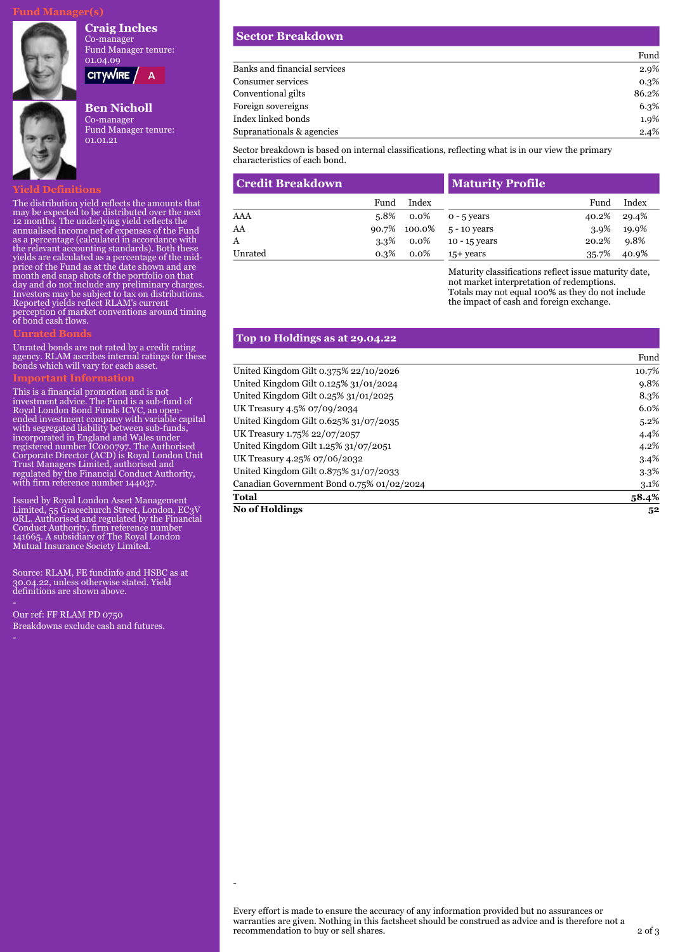#### **Craig Inches**



**CITYWIRE** 

 $\overline{A}$ 

# **Ben Nicholl**

Co-manager Fund Manager tenure: 01.01.21

## **Yield Definitions**

The distribution yield reflects the amounts that may be expected to be distributed over the next 12 months. The underlying yield reflects the annualised income net of expenses of the Fund as a percentage (calculated in accordance with the relevant accounting standards). Both these yields are calculated as a percentage of the midprice of the Fund as at the date shown and are month end snap shots of the portfolio on that day and do not include any preliminary charges. Investors may be subject to tax on distributions. Reported yields reflect RLAM's current perception of market conventions around timing of bond cash flows.

### **Unrated Bonds**

Unrated bonds are not rated by a credit rating agency. RLAM ascribes internal ratings for these bonds which will vary for each asset.

This is a financial promotion and is not investment advice. The Fund is a sub-fund of Royal London Bond Funds ICVC, an openended investment company with variable capital with segregated liability between sub-funds, incorporated in England and Wales under registered number IC000797. The Authorised Corporate Director (ACD) is Royal London Unit Trust Managers Limited, authorised and regulated by the Financial Conduct Authority, with firm reference number 144037.

Issued by Royal London Asset Management Limited, 55 Gracechurch Street, London, EC3V 0RL. Authorised and regulated by the Financial Conduct Authority, firm reference number 141665. A subsidiary of The Royal London Mutual Insurance Society Limited.

Source: RLAM, FE fundinfo and HSBC as at 30.04.22, unless otherwise stated. Yield definitions are shown above.

Our ref: FF RLAM PD 0750 Breakdowns exclude cash and futures. **Sector Breakdown**

|                              | Fund  |
|------------------------------|-------|
| Banks and financial services | 2.9%  |
| Consumer services            | 0.3%  |
| Conventional gilts           | 86.2% |
| Foreign sovereigns           | 6.3%  |
| Index linked bonds           | 1.9%  |
| Supranationals & agencies    | 2.4%  |

Sector breakdown is based on internal classifications, reflecting what is in our view the primary characteristics of each bond.

| <b>Credit Breakdown</b> |       |         | Maturity Profile |       |       |
|-------------------------|-------|---------|------------------|-------|-------|
|                         | Fund  | Index   |                  | Fund  | Index |
| AAA                     | 5.8%  | 0.0%    | $0 - 5$ vears    | 40.2% | 29.4% |
| AA                      | 90.7% | 100.0%  | 5 - 10 years     | 3.9%  | 19.9% |
| A                       | 3.3%  | 0.0%    | 10 - 15 years    | 20.2% | 9.8%  |
| Unrated                 | 0.3%  | $0.0\%$ | $15+$ years      | 35.7% | 40.9% |

Maturity classifications reflect issue maturity date, not market interpretation of redemptions. Totals may not equal 100% as they do not include the impact of cash and foreign exchange.

### **Top 10 Holdings as at 29.04.22**

-

|                                           | Fund    |
|-------------------------------------------|---------|
| United Kingdom Gilt 0.375% 22/10/2026     | 10.7%   |
| United Kingdom Gilt 0.125% 31/01/2024     | $9.8\%$ |
| United Kingdom Gilt 0.25% 31/01/2025      | 8.3%    |
| UK Treasury 4.5% 07/09/2034               | $6.0\%$ |
| United Kingdom Gilt 0.625% 31/07/2035     | $5.2\%$ |
| UK Treasury 1.75% 22/07/2057              | 4.4%    |
| United Kingdom Gilt 1.25% 31/07/2051      | 4.2%    |
| UK Treasury 4.25% 07/06/2032              | $3.4\%$ |
| United Kingdom Gilt 0.875% 31/07/2033     | $3.3\%$ |
| Canadian Government Bond 0.75% 01/02/2024 | $3.1\%$ |
| <b>Total</b>                              | 58.4%   |
| <b>No of Holdings</b>                     | 52      |

Every effort is made to ensure the accuracy of any information provided but no assurances or warranties are given. Nothing in this factsheet should be construed as advice and is therefore not a recommendation to buy or sell shares.